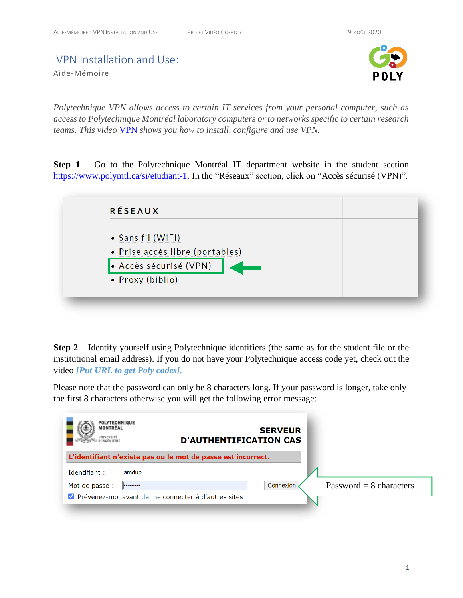## VPN Installation and Use:

Aide-Mémoire



*Polytechnique VPN allows access to certain IT services from your personal computer, such as access to Polytechnique Montréal laboratory computers or to networks specific to certain research teams. This video* [VPN](https://youtu.be/KyP0Wrfkvpo) *shows you how to install, configure and use VPN.*

**Step 1** – Go to the Polytechnique Montréal IT department website in the student section [https://www.polymtl.ca/si/etudiant-1.](https://www.polymtl.ca/si/etudiant-1) In the "Réseaux" section, click on "Accès sécurisé (VPN)".



**Step 2** – Identify yourself using Polytechnique identifiers (the same as for the student file or the institutional email address). If you do not have your Polytechnique access code yet, check out the video *[Put URL to get Poly codes].*

Please note that the password can only be 8 characters long. If your password is longer, take only the first 8 characters otherwise you will get the following error message:

| <b>POLYTECHNIQUE</b><br>MONTRÉAL<br>JNIVERSITÉ<br>INGÉNIERIE |       | <b>D'AUTHENTIFICATION CAS</b>                                | <b>SERVEUR</b> |                           |
|--------------------------------------------------------------|-------|--------------------------------------------------------------|----------------|---------------------------|
|                                                              |       | L'identifiant n'existe pas ou le mot de passe est incorrect. |                |                           |
| Identifiant:                                                 | amdup |                                                              |                |                           |
| Mot de passe :                                               |       |                                                              | Connexion      | Password = $8$ characters |
|                                                              |       | ■ Prévenez-moi avant de me connecter à d'autres sites        |                |                           |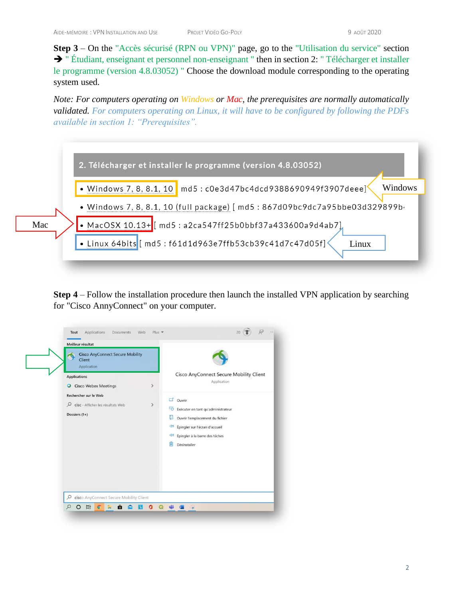**Step 3** – On the "Accès sécurisé (RPN ou VPN)" page, go to the "Utilisation du service" section ➔ " Étudiant, enseignant et personnel non-enseignant " then in section 2: " Télécharger et installer le programme (version 4.8.03052) " Choose the download module corresponding to the operating system used.

*Note: For computers operating on Windows or Mac, the prerequisites are normally automatically validated. For computers operating on Linux, it will have to be configured by following the PDFs available in section 1: "Prerequisites".*



**Step 4** – Follow the installation procedure then launch the installed VPN application by searching for "Cisco AnnyConnect" on your computer.

| <b>Cisco AnyConnect Secure Mobility</b><br>Client<br>Application                                                                    |              |                                                                                                                                                                                                                                                                 |
|-------------------------------------------------------------------------------------------------------------------------------------|--------------|-----------------------------------------------------------------------------------------------------------------------------------------------------------------------------------------------------------------------------------------------------------------|
| <b>Applications</b><br><b>O</b> Cisco Webex Meetings<br>Rechercher sur le Web<br>Cisc - Afficher les résultats Web<br>Dossiers (1+) | $\,$<br>$\,$ | Cisco AnyConnect Secure Mobility Client<br>Application<br>$\Box$ Ouvrir<br>Exécuter en tant qu'administrateur<br>u<br>Ouvrir l'emplacement du fichier<br>-14 Épingler sur l'écran d'accueil<br>$\leftarrow$ Épingler à la barre des tâches<br>п<br>Désinstaller |
| cisco AnyConnect Secure Mobility Client<br>Q                                                                                        |              |                                                                                                                                                                                                                                                                 |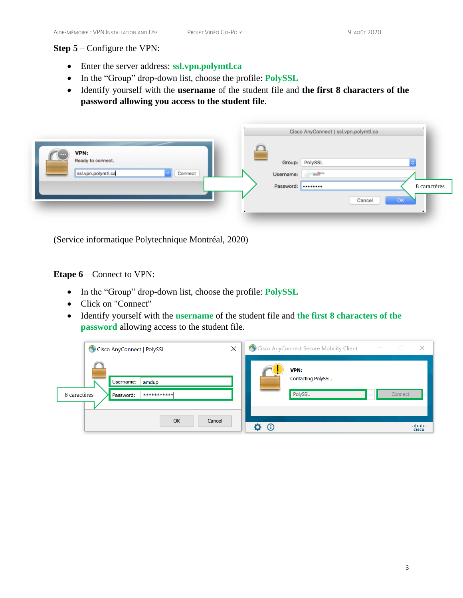## **Step 5** – Configure the VPN:

- Enter the server address: **ssl.vpn.polymtl.ca**
- In the "Group" drop-down list, choose the profile: **PolySSL**
- Identify yourself with the **username** of the student file and **the first 8 characters of the password allowing you access to the student file**.

|   |                                                 |         |  |           | Cisco AnyConnect   ssl.vpn.polymtl.ca |        |              |
|---|-------------------------------------------------|---------|--|-----------|---------------------------------------|--------|--------------|
| œ | VPN:<br>Ready to connect.<br>ssl.vpn.polymtl.ca | Connect |  | Username: | Group: PolySSL<br><b>Sulting</b>      |        |              |
|   |                                                 |         |  | Password: |                                       |        | 8 caractères |
|   |                                                 |         |  |           |                                       | Cancel | OK           |

(Service informatique Polytechnique Montréal, 2020)

**Etape 6** – Connect to VPN:

- In the "Group" drop-down list, choose the profile: **PolySSL**
- Click on "Connect"
- Identify yourself with the **username** of the student file and **the first 8 characters of the password** allowing access to the student file.

| X<br>Cisco AnyConnect   PolySSL                                | Cisco AnyConnect Secure Mobility Client<br>×<br>$\Box$<br>$\hspace{0.1mm}-\hspace{0.1mm}$ |
|----------------------------------------------------------------|-------------------------------------------------------------------------------------------|
| Username:<br>amdup<br>8 caractères<br>***********<br>Password: | VPN:<br>Contacting PolySSL.<br>PolySSL<br>Connect                                         |
| OK<br>Cancel                                                   | abab.<br>$\odot$<br><b>CISCO</b>                                                          |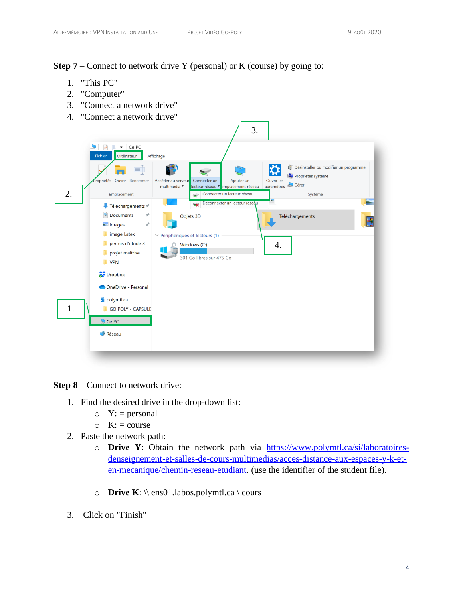**Step 7** – Connect to network drive Y (personal) or K (course) by going to:

- 1. "This PC"
- 2. "Computer"
- 3. "Connect a network drive"
- 4. "Connect a network drive"



**Step 8** – Connect to network drive:

- 1. Find the desired drive in the drop-down list:
	- $\circ Y: =$  personal
	- $\circ$  K: = course
- 2. Paste the network path:
	- o **Drive Y**: Obtain the network path via [https://www.polymtl.ca/si/laboratoires](https://www.polymtl.ca/si/laboratoires-denseignement-et-salles-de-cours-multimedias/acces-distance-aux-espaces-y-k-et-en-mecanique/chemin-reseau-etudiant)[denseignement-et-salles-de-cours-multimedias/acces-distance-aux-espaces-y-k-et](https://www.polymtl.ca/si/laboratoires-denseignement-et-salles-de-cours-multimedias/acces-distance-aux-espaces-y-k-et-en-mecanique/chemin-reseau-etudiant)[en-mecanique/chemin-reseau-etudiant.](https://www.polymtl.ca/si/laboratoires-denseignement-et-salles-de-cours-multimedias/acces-distance-aux-espaces-y-k-et-en-mecanique/chemin-reseau-etudiant) (use the identifier of the student file).
	- o **Drive K**: \\ ens01.labos.polymtl.ca \ cours
- 3. Click on "Finish"